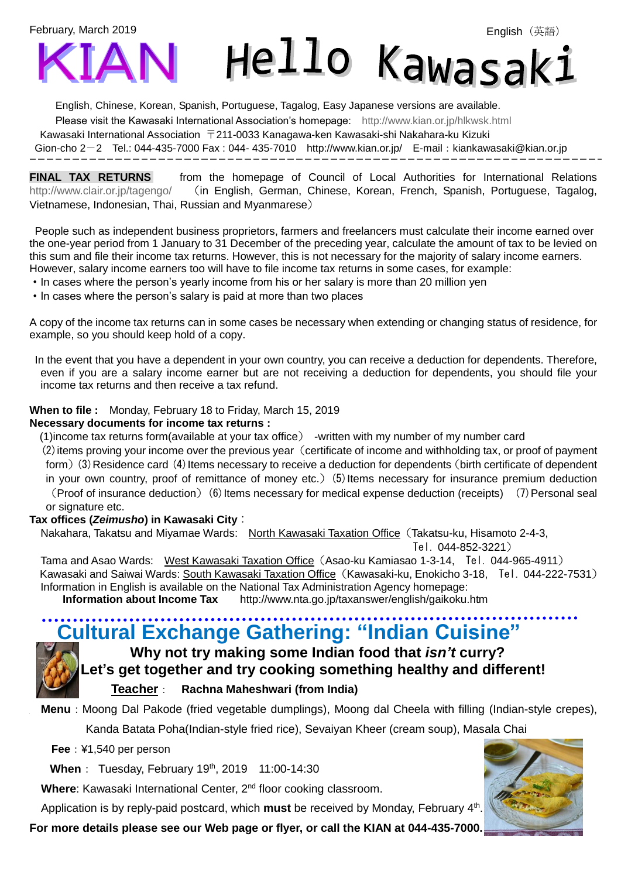February, March 2019

İ



Hello Kawasak

English, Chinese, Korean, Spanish, Portuguese, Tagalog, Easy Japanese versions are available.

Please visit the Kawasaki International Association's homepage: <http://www.kian.or.jp/hlkwsk.html>

Kawasaki International Association 〒211-0033 Kanagawa-ken Kawasaki-shi Nakahara-ku Kizuki

Gion-cho 2-2 Tel.: 044-435-7000 Fax : 044- 435-7010 <http://www.kian.or.jp/>E-mail:kiankawasaki@kian.or.jp

**FINAL TAX RETURNS** from the homepage of Council of Local Authorities for International Relations <http://www.clair.or.jp/tagengo/> (in English, German, Chinese, Korean, French, Spanish, Portuguese, Tagalog, Vietnamese, Indonesian, Thai, Russian and Myanmarese)

People such as independent business proprietors, farmers and freelancers must calculate their income earned over the one-year period from 1 January to 31 December of the preceding year, calculate the amount of tax to be levied on this sum and file their income tax returns. However, this is not necessary for the majority of salary income earners. However, salary income earners too will have to file income tax returns in some cases, for example:

- ・In cases where the person's yearly income from his or her salary is more than 20 million yen
- ・In cases where the person's salary is paid at more than two places

A copy of the income tax returns can in some cases be necessary when extending or changing status of residence, for example, so you should keep hold of a copy.

In the event that you have a dependent in your own country, you can receive a deduction for dependents. Therefore, even if you are a salary income earner but are not receiving a deduction for dependents, you should file your income tax returns and then receive a tax refund.

#### **When to file :** Monday, February 18 to Friday, March 15, 2019

#### **Necessary documents for income tax returns :**

(1)income tax returns form(available at your tax office) -written with my number of my number card

(2) items proving your income over the previous year (certificate of income and withholding tax, or proof of payment form) (3) Residence card (4) Items necessary to receive a deduction for dependents (birth certificate of dependent in your own country, proof of remittance of money etc.)  $(5)$  Items necessary for insurance premium deduction (Proof of insurance deduction)(6)Items necessary for medical expense deduction (receipts) (7)Personal seal

#### or signature etc.

#### **Tax offices (***Zeimusho***) in Kawasaki City**:

Nakahara, Takatsu and Miyamae Wards: North Kawasaki Taxation Office(Takatsu-ku, Hisamoto 2-4-3,

Tel. 044-852-3221)

Tama and Asao Wards: West Kawasaki Taxation Office(Asao-ku Kamiasao 1-3-14, Tel. 044-965-4911) Kawasaki and Saiwai Wards: South Kawasaki Taxation Office(Kawasaki-ku, Enokicho 3-18, Tel. 044-222-7531) Information in English is available on the National Tax Administration Agency homepage:

**Information about Income Tax** <http://www.nta.go.jp/taxanswer/english/gaikoku.htm>

## **Cultural Exchange Gathering: "Indian Cuisine"**

### **Why not try making some Indian food that** *isn't* **curry? Let's get together and try cooking something healthy and different! Teacher**: **Rachna Maheshwari (from India)**

**Menu**: Moong Dal Pakode (fried vegetable dumplings), Moong dal Cheela with filling (Indian-style crepes),

Kanda Batata Poha(Indian-style fried rice), Sevaiyan Kheer (cream soup), Masala Chai

**Fee**:¥1,540 per person

**When**: Tuesday, February 19<sup>th</sup>, 2019 11:00-14:30

Where: Kawasaki International Center, 2<sup>nd</sup> floor cooking classroom.

Application is by reply-paid postcard, which **must** be received by Monday, February 4<sup>th</sup>.

**For more details please see our Web page or flyer, or call the KIAN at 044-435-7000.**